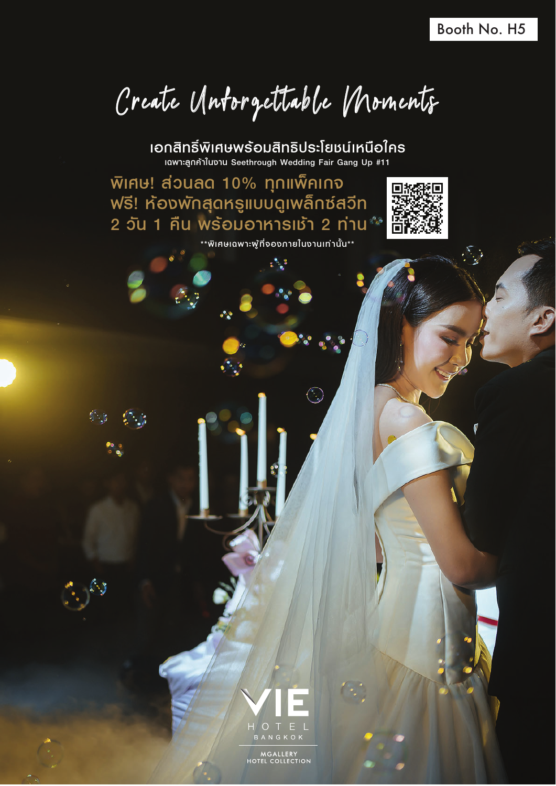Create Unforgettable Moments

เฉพาะลูกคาในงาน Seethrough Wedding Fair Gang Up #11 เอกสิทธิ์พิเศษพรอมสิทธิประโยชนเหนือใคร

พิเศษ! สวนลด 10% ทุกแพ็คเกจ ฟรี! หองพักสุดหรูแบบดูเพล็กซสวีท  $2$  วัน 1 คืน พร้อมอาหารเช้า 2 ท่าน $^{\circ\circ}$ \*\*พิเศษเฉพาะผูที่จองภายในงานเทานั้น\*\*





MGALLERY<br>HOTEL COLLECTION